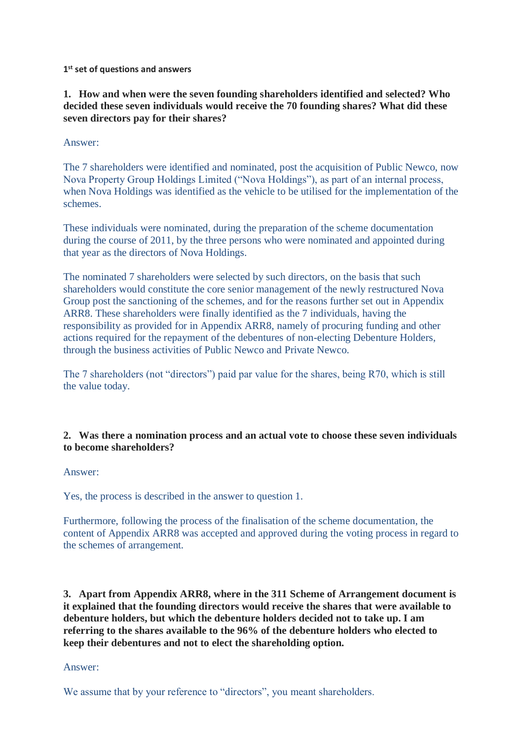**1 st set of questions and answers**

**1. How and when were the seven founding shareholders identified and selected? Who decided these seven individuals would receive the 70 founding shares? What did these seven directors pay for their shares?**

Answer:

The 7 shareholders were identified and nominated, post the acquisition of Public Newco, now Nova Property Group Holdings Limited ("Nova Holdings"), as part of an internal process, when Nova Holdings was identified as the vehicle to be utilised for the implementation of the schemes.

These individuals were nominated, during the preparation of the scheme documentation during the course of 2011, by the three persons who were nominated and appointed during that year as the directors of Nova Holdings.

The nominated 7 shareholders were selected by such directors, on the basis that such shareholders would constitute the core senior management of the newly restructured Nova Group post the sanctioning of the schemes, and for the reasons further set out in Appendix ARR8. These shareholders were finally identified as the 7 individuals, having the responsibility as provided for in Appendix ARR8, namely of procuring funding and other actions required for the repayment of the debentures of non-electing Debenture Holders, through the business activities of Public Newco and Private Newco.

The 7 shareholders (not "directors") paid par value for the shares, being R70, which is still the value today.

### **2. Was there a nomination process and an actual vote to choose these seven individuals to become shareholders?**

Answer:

Yes, the process is described in the answer to question 1.

Furthermore, following the process of the finalisation of the scheme documentation, the content of Appendix ARR8 was accepted and approved during the voting process in regard to the schemes of arrangement.

**3. Apart from Appendix ARR8, where in the 311 Scheme of Arrangement document is it explained that the founding directors would receive the shares that were available to debenture holders, but which the debenture holders decided not to take up. I am referring to the shares available to the 96% of the debenture holders who elected to keep their debentures and not to elect the shareholding option.**

#### Answer:

We assume that by your reference to "directors", you meant shareholders.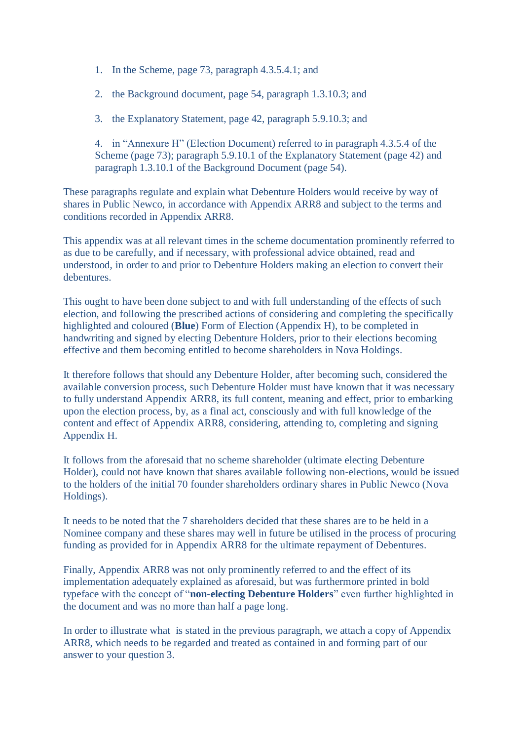- 1. In the Scheme, page 73, paragraph 4.3.5.4.1; and
- 2. the Background document, page 54, paragraph 1.3.10.3; and
- 3. the Explanatory Statement, page 42, paragraph 5.9.10.3; and

4. in "Annexure H" (Election Document) referred to in paragraph 4.3.5.4 of the Scheme (page 73); paragraph 5.9.10.1 of the Explanatory Statement (page 42) and paragraph 1.3.10.1 of the Background Document (page 54).

These paragraphs regulate and explain what Debenture Holders would receive by way of shares in Public Newco, in accordance with Appendix ARR8 and subject to the terms and conditions recorded in Appendix ARR8.

This appendix was at all relevant times in the scheme documentation prominently referred to as due to be carefully, and if necessary, with professional advice obtained, read and understood, in order to and prior to Debenture Holders making an election to convert their debentures.

This ought to have been done subject to and with full understanding of the effects of such election, and following the prescribed actions of considering and completing the specifically highlighted and coloured (**Blue**) Form of Election (Appendix H), to be completed in handwriting and signed by electing Debenture Holders, prior to their elections becoming effective and them becoming entitled to become shareholders in Nova Holdings.

It therefore follows that should any Debenture Holder, after becoming such, considered the available conversion process, such Debenture Holder must have known that it was necessary to fully understand Appendix ARR8, its full content, meaning and effect, prior to embarking upon the election process, by, as a final act, consciously and with full knowledge of the content and effect of Appendix ARR8, considering, attending to, completing and signing Appendix H.

It follows from the aforesaid that no scheme shareholder (ultimate electing Debenture Holder), could not have known that shares available following non-elections, would be issued to the holders of the initial 70 founder shareholders ordinary shares in Public Newco (Nova Holdings).

It needs to be noted that the 7 shareholders decided that these shares are to be held in a Nominee company and these shares may well in future be utilised in the process of procuring funding as provided for in Appendix ARR8 for the ultimate repayment of Debentures.

Finally, Appendix ARR8 was not only prominently referred to and the effect of its implementation adequately explained as aforesaid, but was furthermore printed in bold typeface with the concept of "**non-electing Debenture Holders**" even further highlighted in the document and was no more than half a page long.

In order to illustrate what is stated in the previous paragraph, we attach a copy of Appendix ARR8, which needs to be regarded and treated as contained in and forming part of our answer to your question 3.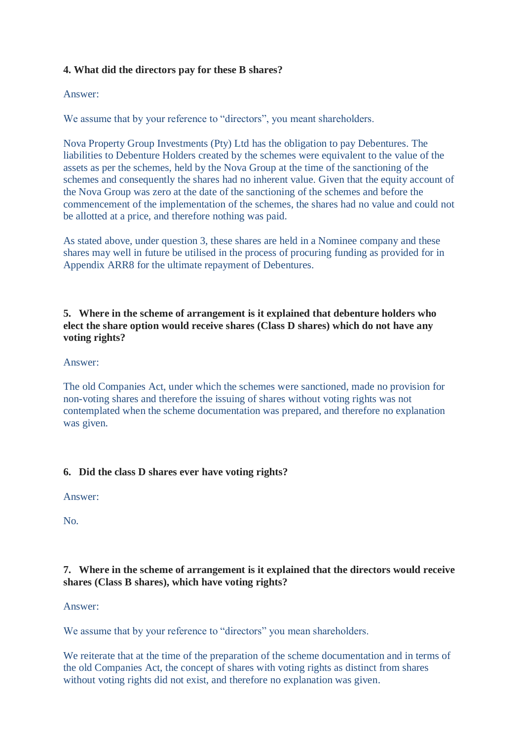# **4. What did the directors pay for these B shares?**

#### Answer:

We assume that by your reference to "directors", you meant shareholders.

Nova Property Group Investments (Pty) Ltd has the obligation to pay Debentures. The liabilities to Debenture Holders created by the schemes were equivalent to the value of the assets as per the schemes, held by the Nova Group at the time of the sanctioning of the schemes and consequently the shares had no inherent value. Given that the equity account of the Nova Group was zero at the date of the sanctioning of the schemes and before the commencement of the implementation of the schemes, the shares had no value and could not be allotted at a price, and therefore nothing was paid.

As stated above, under question 3, these shares are held in a Nominee company and these shares may well in future be utilised in the process of procuring funding as provided for in Appendix ARR8 for the ultimate repayment of Debentures.

# **5. Where in the scheme of arrangement is it explained that debenture holders who elect the share option would receive shares (Class D shares) which do not have any voting rights?**

### Answer:

The old Companies Act, under which the schemes were sanctioned, made no provision for non-voting shares and therefore the issuing of shares without voting rights was not contemplated when the scheme documentation was prepared, and therefore no explanation was given.

# **6. Did the class D shares ever have voting rights?**

Answer:

No.

# **7. Where in the scheme of arrangement is it explained that the directors would receive shares (Class B shares), which have voting rights?**

#### Answer:

We assume that by your reference to "directors" you mean shareholders.

We reiterate that at the time of the preparation of the scheme documentation and in terms of the old Companies Act, the concept of shares with voting rights as distinct from shares without voting rights did not exist, and therefore no explanation was given.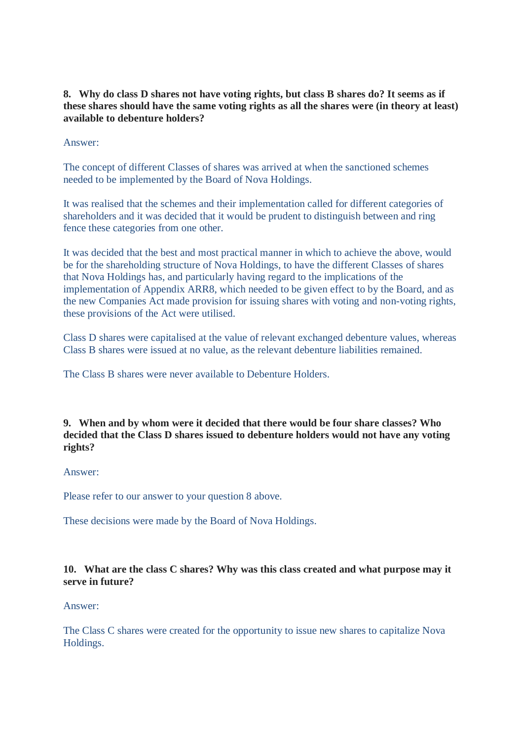### **8. Why do class D shares not have voting rights, but class B shares do? It seems as if these shares should have the same voting rights as all the shares were (in theory at least) available to debenture holders?**

Answer:

The concept of different Classes of shares was arrived at when the sanctioned schemes needed to be implemented by the Board of Nova Holdings.

It was realised that the schemes and their implementation called for different categories of shareholders and it was decided that it would be prudent to distinguish between and ring fence these categories from one other.

It was decided that the best and most practical manner in which to achieve the above, would be for the shareholding structure of Nova Holdings, to have the different Classes of shares that Nova Holdings has, and particularly having regard to the implications of the implementation of Appendix ARR8, which needed to be given effect to by the Board, and as the new Companies Act made provision for issuing shares with voting and non-voting rights, these provisions of the Act were utilised.

Class D shares were capitalised at the value of relevant exchanged debenture values, whereas Class B shares were issued at no value, as the relevant debenture liabilities remained.

The Class B shares were never available to Debenture Holders.

**9. When and by whom were it decided that there would be four share classes? Who decided that the Class D shares issued to debenture holders would not have any voting rights?**

#### Answer:

Please refer to our answer to your question 8 above.

These decisions were made by the Board of Nova Holdings.

# **10. What are the class C shares? Why was this class created and what purpose may it serve in future?**

#### Answer:

The Class C shares were created for the opportunity to issue new shares to capitalize Nova Holdings.